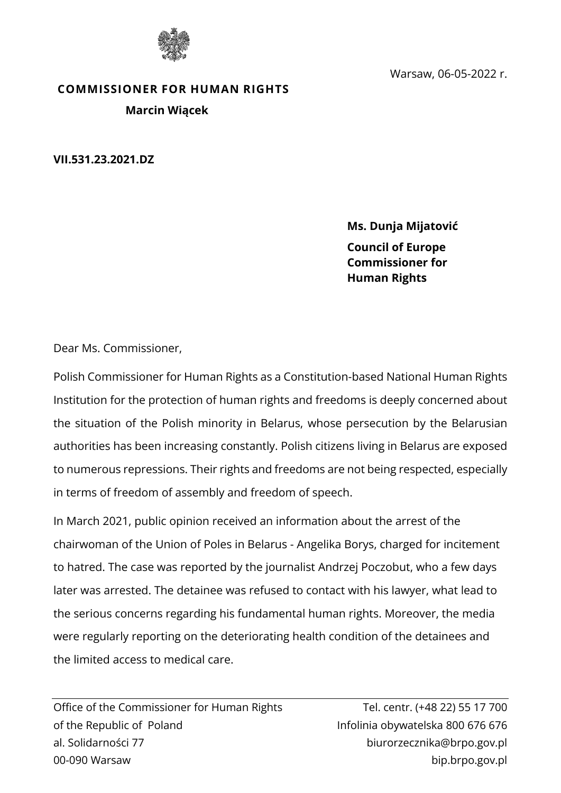

Warsaw, 06-05-2022 r.

## **COMMISSIONER FOR HUMAN RIGHTS Marcin Wiącek**

**VII.531.23.2021.DZ**

**Ms. Dunja Mijatović Council of Europe Commissioner for Human Rights**

Dear Ms. Commissioner,

Polish Commissioner for Human Rights as a Constitution-based National Human Rights Institution for the protection of human rights and freedoms is deeply concerned about the situation of the Polish minority in Belarus, whose persecution by the Belarusian authorities has been increasing constantly. Polish citizens living in Belarus are exposed to numerous repressions. Their rights and freedoms are not being respected, especially in terms of freedom of assembly and freedom of speech.

In March 2021, public opinion received an information about the arrest of the chairwoman of the Union of Poles in Belarus - Angelika Borys, charged for incitement to hatred. The case was reported by the journalist Andrzej Poczobut, who a few days later was arrested. The detainee was refused to contact with his lawyer, what lead to the serious concerns regarding his fundamental human rights. Moreover, the media were regularly reporting on the deteriorating health condition of the detainees and the limited access to medical care.

Office of the Commissioner for Human Rights Tel. centr. (+48 22) 55 17 700 of the Republic of Poland Infolinia obywatelska 800 676 676 al. Solidarności 77 biurorzecznika@brpo.gov.pl 00-090 Warsaw bip.brpo.gov.pl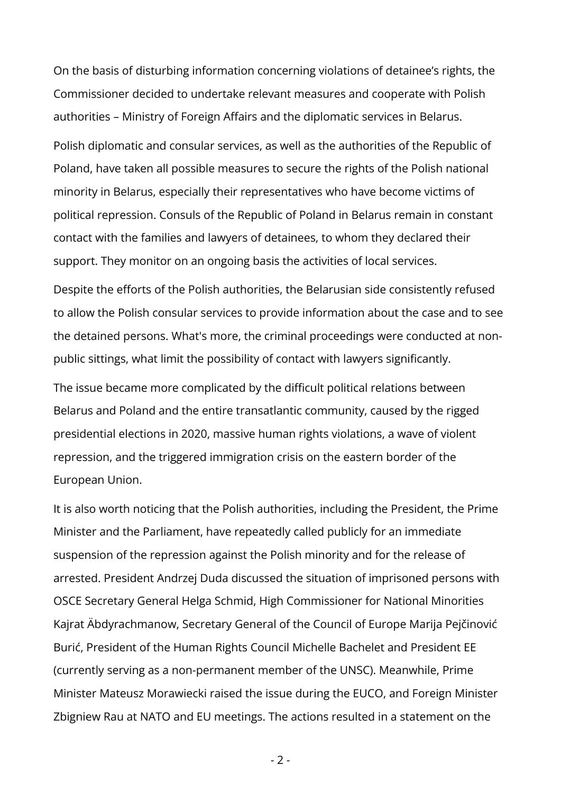On the basis of disturbing information concerning violations of detainee's rights, the Commissioner decided to undertake relevant measures and cooperate with Polish authorities – Ministry of Foreign Affairs and the diplomatic services in Belarus.

Polish diplomatic and consular services, as well as the authorities of the Republic of Poland, have taken all possible measures to secure the rights of the Polish national minority in Belarus, especially their representatives who have become victims of political repression. Consuls of the Republic of Poland in Belarus remain in constant contact with the families and lawyers of detainees, to whom they declared their support. They monitor on an ongoing basis the activities of local services.

Despite the efforts of the Polish authorities, the Belarusian side consistently refused to allow the Polish consular services to provide information about the case and to see the detained persons. What's more, the criminal proceedings were conducted at nonpublic sittings, what limit the possibility of contact with lawyers significantly.

The issue became more complicated by the difficult political relations between Belarus and Poland and the entire transatlantic community, caused by the rigged presidential elections in 2020, massive human rights violations, a wave of violent repression, and the triggered immigration crisis on the eastern border of the European Union.

It is also worth noticing that the Polish authorities, including the President, the Prime Minister and the Parliament, have repeatedly called publicly for an immediate suspension of the repression against the Polish minority and for the release of arrested. President Andrzej Duda discussed the situation of imprisoned persons with OSCE Secretary General Helga Schmid, High Commissioner for National Minorities Kajrat Äbdyrachmanow, Secretary General of the Council of Europe Marija Pejčinović Burić, President of the Human Rights Council Michelle Bachelet and President EE (currently serving as a non-permanent member of the UNSC). Meanwhile, Prime Minister Mateusz Morawiecki raised the issue during the EUCO, and Foreign Minister Zbigniew Rau at NATO and EU meetings. The actions resulted in a statement on the

- 2 -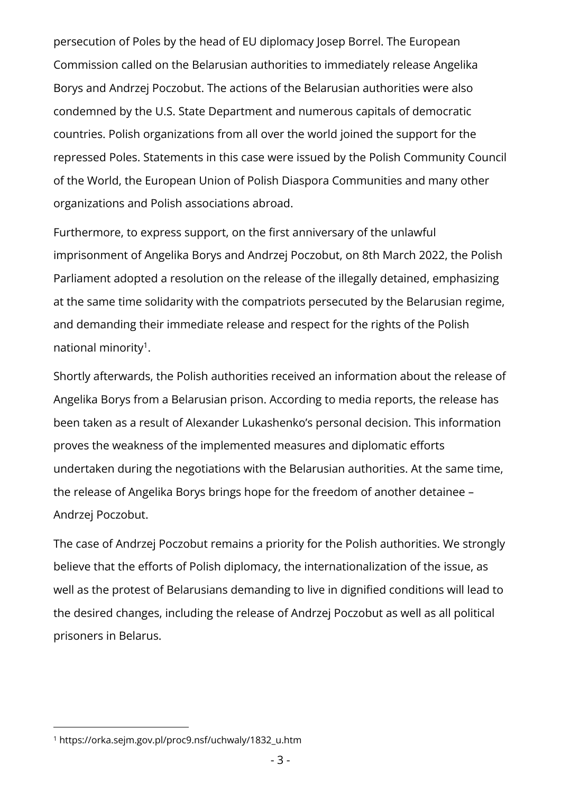persecution of Poles by the head of EU diplomacy Josep Borrel. The European Commission called on the Belarusian authorities to immediately release Angelika Borys and Andrzej Poczobut. The actions of the Belarusian authorities were also condemned by the U.S. State Department and numerous capitals of democratic countries. Polish organizations from all over the world joined the support for the repressed Poles. Statements in this case were issued by the Polish Community Council of the World, the European Union of Polish Diaspora Communities and many other organizations and Polish associations abroad.

Furthermore, to express support, on the first anniversary of the unlawful imprisonment of Angelika Borys and Andrzej Poczobut, on 8th March 2022, the Polish Parliament adopted a resolution on the release of the illegally detained, emphasizing at the same time solidarity with the compatriots persecuted by the Belarusian regime, and demanding their immediate release and respect for the rights of the Polish national minority<sup>1</sup> .

Shortly afterwards, the Polish authorities received an information about the release of Angelika Borys from a Belarusian prison. According to media reports, the release has been taken as a result of Alexander Lukashenko's personal decision. This information proves the weakness of the implemented measures and diplomatic efforts undertaken during the negotiations with the Belarusian authorities. At the same time, the release of Angelika Borys brings hope for the freedom of another detainee – Andrzej Poczobut.

The case of Andrzej Poczobut remains a priority for the Polish authorities. We strongly believe that the efforts of Polish diplomacy, the internationalization of the issue, as well as the protest of Belarusians demanding to live in dignified conditions will lead to the desired changes, including the release of Andrzej Poczobut as well as all political prisoners in Belarus.

<sup>1</sup> [https://orka.sejm.gov.pl/proc9.nsf/uchwaly/1832\\_u.htm](https://orka.sejm.gov.pl/proc9.nsf/uchwaly/1832_u.htm)